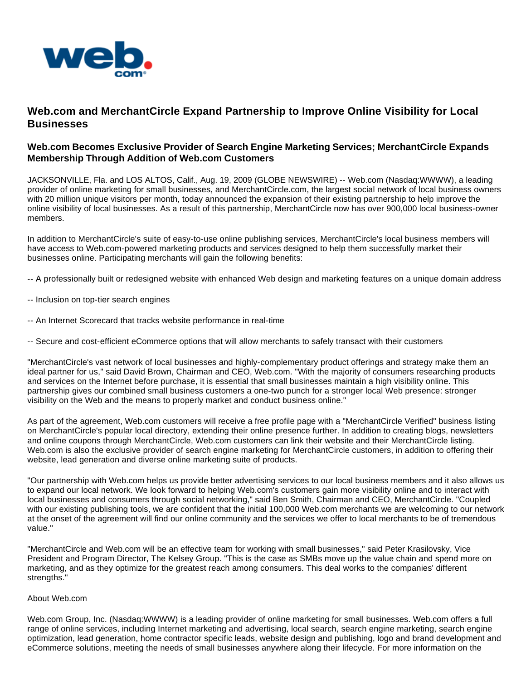

## **Web.com and MerchantCircle Expand Partnership to Improve Online Visibility for Local Businesses**

## **Web.com Becomes Exclusive Provider of Search Engine Marketing Services; MerchantCircle Expands Membership Through Addition of Web.com Customers**

JACKSONVILLE, Fla. and LOS ALTOS, Calif., Aug. 19, 2009 (GLOBE NEWSWIRE) -- Web.com (Nasdaq:WWWW), a leading provider of online marketing for small businesses, and MerchantCircle.com, the largest social network of local business owners with 20 million unique visitors per month, today announced the expansion of their existing partnership to help improve the online visibility of local businesses. As a result of this partnership, MerchantCircle now has over 900,000 local business-owner members.

In addition to MerchantCircle's suite of easy-to-use online publishing services, MerchantCircle's local business members will have access to Web.com-powered marketing products and services designed to help them successfully market their businesses online. Participating merchants will gain the following benefits:

- -- A professionally built or redesigned website with enhanced Web design and marketing features on a unique domain address
- -- Inclusion on top-tier search engines
- -- An Internet Scorecard that tracks website performance in real-time

-- Secure and cost-efficient eCommerce options that will allow merchants to safely transact with their customers

"MerchantCircle's vast network of local businesses and highly-complementary product offerings and strategy make them an ideal partner for us," said David Brown, Chairman and CEO, Web.com. "With the majority of consumers researching products and services on the Internet before purchase, it is essential that small businesses maintain a high visibility online. This partnership gives our combined small business customers a one-two punch for a stronger local Web presence: stronger visibility on the Web and the means to properly market and conduct business online."

As part of the agreement, Web.com customers will receive a free profile page with a "MerchantCircle Verified" business listing on MerchantCircle's popular local directory, extending their online presence further. In addition to creating blogs, newsletters and online coupons through MerchantCircle, Web.com customers can link their website and their MerchantCircle listing. Web.com is also the exclusive provider of search engine marketing for MerchantCircle customers, in addition to offering their website, lead generation and diverse online marketing suite of products.

"Our partnership with Web.com helps us provide better advertising services to our local business members and it also allows us to expand our local network. We look forward to helping Web.com's customers gain more visibility online and to interact with local businesses and consumers through social networking," said Ben Smith, Chairman and CEO, MerchantCircle. "Coupled with our existing publishing tools, we are confident that the initial 100,000 Web.com merchants we are welcoming to our network at the onset of the agreement will find our online community and the services we offer to local merchants to be of tremendous value."

"MerchantCircle and Web.com will be an effective team for working with small businesses," said Peter Krasilovsky, Vice President and Program Director, The Kelsey Group. "This is the case as SMBs move up the value chain and spend more on marketing, and as they optimize for the greatest reach among consumers. This deal works to the companies' different strengths."

## About Web.com

Web.com Group, Inc. (Nasdaq:WWWW) is a leading provider of online marketing for small businesses. Web.com offers a full range of online services, including Internet marketing and advertising, local search, search engine marketing, search engine optimization, lead generation, home contractor specific leads, website design and publishing, logo and brand development and eCommerce solutions, meeting the needs of small businesses anywhere along their lifecycle. For more information on the